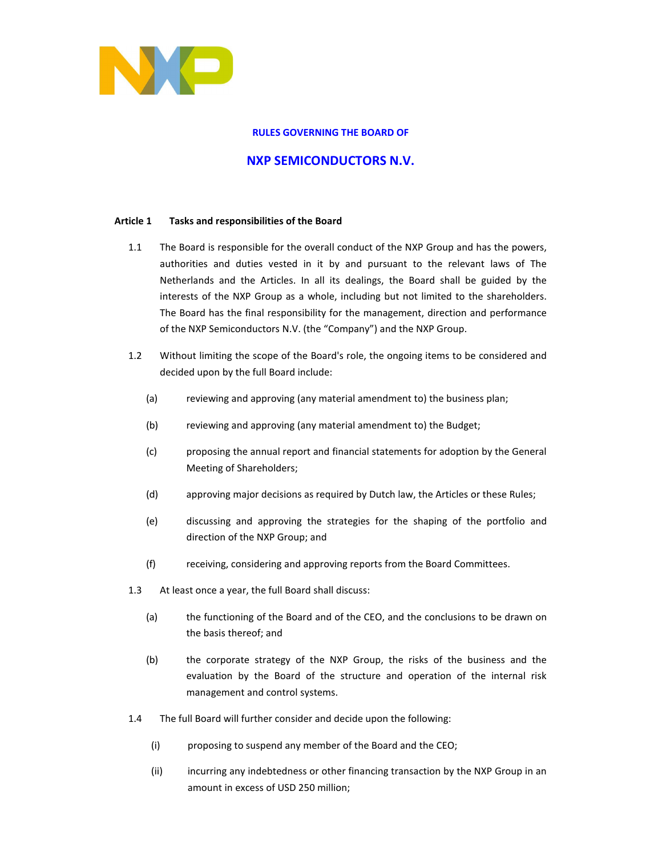

### **RULES GOVERNING THE BOARD OF**

# **NXP SEMICONDUCTORS N.V.**

### **Article 1 Tasks and responsibilities of the Board**

- 1.1 The Board is responsible for the overall conduct of the NXP Group and has the powers, authorities and duties vested in it by and pursuant to the relevant laws of The Netherlands and the Articles. In all its dealings, the Board shall be guided by the interests of the NXP Group as a whole, including but not limited to the shareholders. The Board has the final responsibility for the management, direction and performance of the NXP Semiconductors N.V. (the "Company") and the NXP Group.
- 1.2 Without limiting the scope of the Board's role, the ongoing items to be considered and decided upon by the full Board include:
	- (a) reviewing and approving (any material amendment to) the business plan;
	- (b) reviewing and approving (any material amendment to) the Budget;
	- (c) proposing the annual report and financial statements for adoption by the General Meeting of Shareholders;
	- (d) approving major decisions as required by Dutch law, the Articles or these Rules;
	- (e) discussing and approving the strategies for the shaping of the portfolio and direction of the NXP Group; and
	- (f) receiving, considering and approving reports from the Board Committees.
- 1.3 At least once a year, the full Board shall discuss:
	- (a) the functioning of the Board and of the CEO, and the conclusions to be drawn on the basis thereof; and
	- (b) the corporate strategy of the NXP Group, the risks of the business and the evaluation by the Board of the structure and operation of the internal risk management and control systems.
- 1.4 The full Board will further consider and decide upon the following:
	- (i) proposing to suspend any member of the Board and the CEO;
	- (ii) incurring any indebtedness or other financing transaction by the NXP Group in an amount in excess of USD 250 million;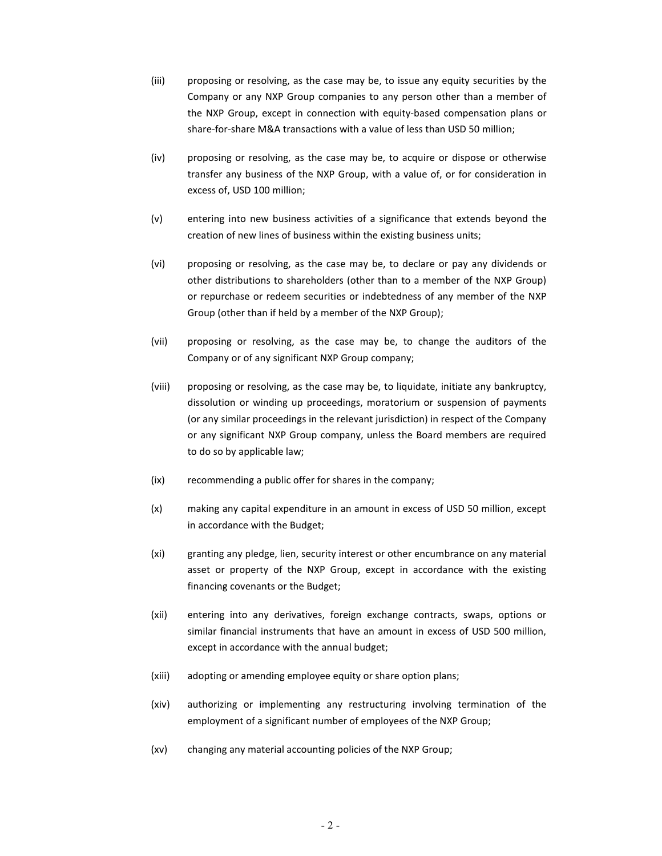- (iii) proposing or resolving, as the case may be, to issue any equity securities by the Company or any NXP Group companies to any person other than a member of the NXP Group, except in connection with equity-based compensation plans or share-for-share M&A transactions with a value of less than USD 50 million;
- (iv) proposing or resolving, as the case may be, to acquire or dispose or otherwise transfer any business of the NXP Group, with a value of, or for consideration in excess of, USD 100 million;
- (v) entering into new business activities of a significance that extends beyond the creation of new lines of business within the existing business units;
- (vi) proposing or resolving, as the case may be, to declare or pay any dividends or other distributions to shareholders (other than to a member of the NXP Group) or repurchase or redeem securities or indebtedness of any member of the NXP Group (other than if held by a member of the NXP Group);
- (vii) proposing or resolving, as the case may be, to change the auditors of the Company or of any significant NXP Group company;
- (viii) proposing or resolving, as the case may be, to liquidate, initiate any bankruptcy, dissolution or winding up proceedings, moratorium or suspension of payments (or any similar proceedings in the relevant jurisdiction) in respect of the Company or any significant NXP Group company, unless the Board members are required to do so by applicable law;
- (ix) recommending a public offer for shares in the company;
- (x) making any capital expenditure in an amount in excess of USD 50 million, except in accordance with the Budget;
- (xi) granting any pledge, lien, security interest or other encumbrance on any material asset or property of the NXP Group, except in accordance with the existing financing covenants or the Budget;
- (xii) entering into any derivatives, foreign exchange contracts, swaps, options or similar financial instruments that have an amount in excess of USD 500 million, except in accordance with the annual budget;
- (xiii) adopting or amending employee equity or share option plans;
- (xiv) authorizing or implementing any restructuring involving termination of the employment of a significant number of employees of the NXP Group;
- (xv) changing any material accounting policies of the NXP Group;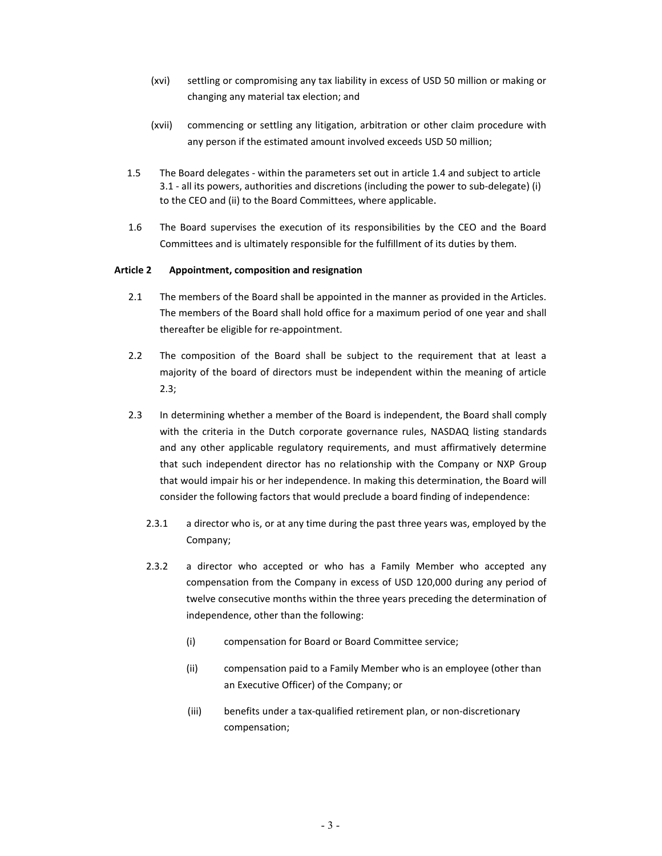- (xvi) settling or compromising any tax liability in excess of USD 50 million or making or changing any material tax election; and
- (xvii) commencing or settling any litigation, arbitration or other claim procedure with any person if the estimated amount involved exceeds USD 50 million;
- 1.5 The Board delegates within the parameters set out in article 1.4 and subject to article 3.1 - all its powers, authorities and discretions (including the power to sub-delegate) (i) to the CEO and (ii) to the Board Committees, where applicable.
- 1.6 The Board supervises the execution of its responsibilities by the CEO and the Board Committees and is ultimately responsible for the fulfillment of its duties by them.

### **Article 2 Appointment, composition and resignation**

- 2.1 The members of the Board shall be appointed in the manner as provided in the Articles. The members of the Board shall hold office for a maximum period of one year and shall thereafter be eligible for re-appointment.
- 2.2 The composition of the Board shall be subject to the requirement that at least a majority of the board of directors must be independent within the meaning of article 2.3;
- 2.3 In determining whether a member of the Board is independent, the Board shall comply with the criteria in the Dutch corporate governance rules, NASDAQ listing standards and any other applicable regulatory requirements, and must affirmatively determine that such independent director has no relationship with the Company or NXP Group that would impair his or her independence. In making this determination, the Board will consider the following factors that would preclude a board finding of independence:
	- 2.3.1 a director who is, or at any time during the past three years was, employed by the Company;
	- 2.3.2 a director who accepted or who has a Family Member who accepted any compensation from the Company in excess of USD 120,000 during any period of twelve consecutive months within the three years preceding the determination of independence, other than the following:
		- (i) compensation for Board or Board Committee service;
		- (ii) compensation paid to a Family Member who is an employee (other than an Executive Officer) of the Company; or
		- (iii) benefits under a tax-qualified retirement plan, or non-discretionary compensation;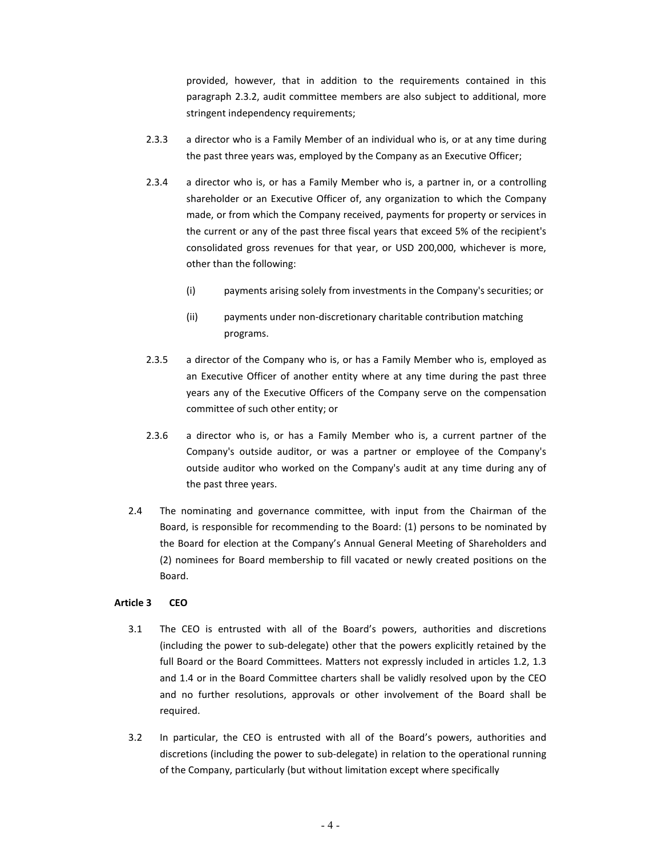provided, however, that in addition to the requirements contained in this paragraph 2.3.2, audit committee members are also subject to additional, more stringent independency requirements;

- 2.3.3 a director who is a Family Member of an individual who is, or at any time during the past three years was, employed by the Company as an Executive Officer;
- 2.3.4 a director who is, or has a Family Member who is, a partner in, or a controlling shareholder or an Executive Officer of, any organization to which the Company made, or from which the Company received, payments for property or services in the current or any of the past three fiscal years that exceed 5% of the recipient's consolidated gross revenues for that year, or USD 200,000, whichever is more, other than the following:
	- (i) payments arising solely from investments in the Company's securities; or
	- (ii) payments under non-discretionary charitable contribution matching programs.
- 2.3.5 a director of the Company who is, or has a Family Member who is, employed as an Executive Officer of another entity where at any time during the past three years any of the Executive Officers of the Company serve on the compensation committee of such other entity; or
- 2.3.6 a director who is, or has a Family Member who is, a current partner of the Company's outside auditor, or was a partner or employee of the Company's outside auditor who worked on the Company's audit at any time during any of the past three years.
- 2.4 The nominating and governance committee, with input from the Chairman of the Board, is responsible for recommending to the Board: (1) persons to be nominated by the Board for election at the Company's Annual General Meeting of Shareholders and (2) nominees for Board membership to fill vacated or newly created positions on the Board.

### **Article 3 CEO**

- 3.1 The CEO is entrusted with all of the Board's powers, authorities and discretions (including the power to sub-delegate) other that the powers explicitly retained by the full Board or the Board Committees. Matters not expressly included in articles 1.2, 1.3 and 1.4 or in the Board Committee charters shall be validly resolved upon by the CEO and no further resolutions, approvals or other involvement of the Board shall be required.
- 3.2 In particular, the CEO is entrusted with all of the Board's powers, authorities and discretions (including the power to sub-delegate) in relation to the operational running of the Company, particularly (but without limitation except where specifically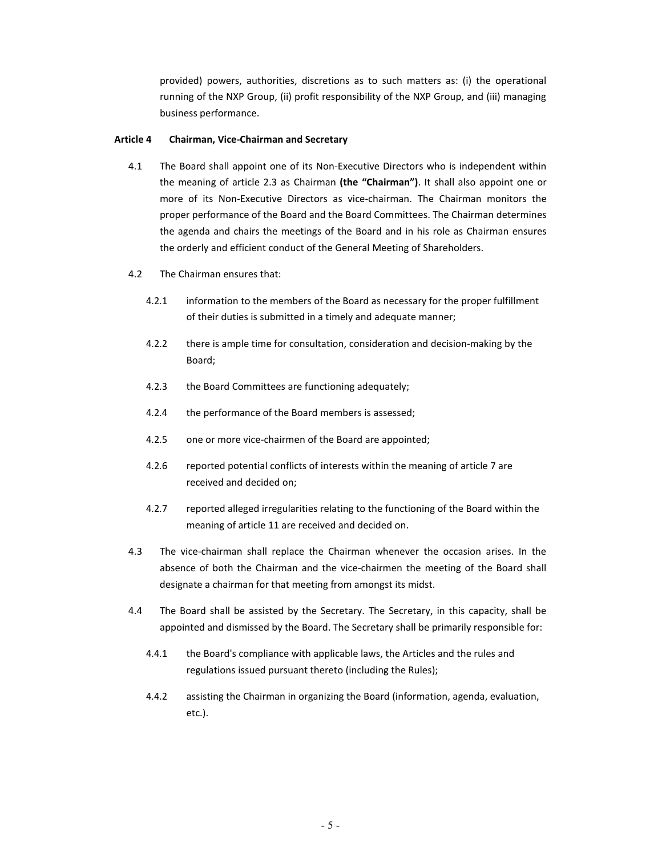provided) powers, authorities, discretions as to such matters as: (i) the operational running of the NXP Group, (ii) profit responsibility of the NXP Group, and (iii) managing business performance.

### **Article 4 Chairman, Vice-Chairman and Secretary**

- 4.1 The Board shall appoint one of its Non-Executive Directors who is independent within the meaning of article 2.3 as Chairman **(the "Chairman")**. It shall also appoint one or more of its Non-Executive Directors as vice-chairman. The Chairman monitors the proper performance of the Board and the Board Committees. The Chairman determines the agenda and chairs the meetings of the Board and in his role as Chairman ensures the orderly and efficient conduct of the General Meeting of Shareholders.
- 4.2 The Chairman ensures that:
	- 4.2.1 information to the members of the Board as necessary for the proper fulfillment of their duties is submitted in a timely and adequate manner;
	- 4.2.2 there is ample time for consultation, consideration and decision-making by the Board;
	- 4.2.3 the Board Committees are functioning adequately;
	- 4.2.4 the performance of the Board members is assessed;
	- 4.2.5 one or more vice-chairmen of the Board are appointed;
	- 4.2.6 reported potential conflicts of interests within the meaning of article 7 are received and decided on;
	- 4.2.7 reported alleged irregularities relating to the functioning of the Board within the meaning of article 11 are received and decided on.
- 4.3 The vice-chairman shall replace the Chairman whenever the occasion arises. In the absence of both the Chairman and the vice-chairmen the meeting of the Board shall designate a chairman for that meeting from amongst its midst.
- 4.4 The Board shall be assisted by the Secretary. The Secretary, in this capacity, shall be appointed and dismissed by the Board. The Secretary shall be primarily responsible for:
	- 4.4.1 the Board's compliance with applicable laws, the Articles and the rules and regulations issued pursuant thereto (including the Rules);
	- 4.4.2 assisting the Chairman in organizing the Board (information, agenda, evaluation, etc.).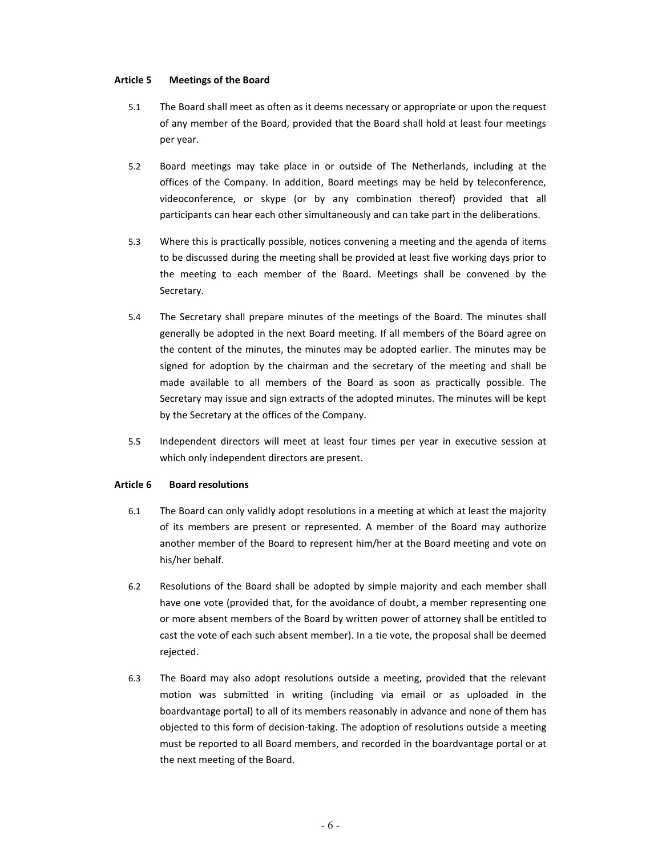### **Article 5 Meetings of the Board**

- 5.1 The Board shall meet as often as it deems necessary or appropriate or upon the request of any member of the Board, provided that the Board shall hold at least four meetings per year.
- 5.2 Board meetings may take place in or outside of The Netherlands, including at the offices of the Company. In addition, Board meetings may be held by teleconference, videoconference, or skype (or by any combination thereof) provided that all participants can hear each other simultaneously and can take part in the deliberations.
- 5.3 Where this is practically possible, notices convening a meeting and the agenda of items to be discussed during the meeting shall be provided at least five working days prior to the meeting to each member of the Board. Meetings shall be convened by the Secretary.
- 5.4 The Secretary shall prepare minutes of the meetings of the Board. The minutes shall generally be adopted in the next Board meeting. If all members of the Board agree on the content of the minutes, the minutes may be adopted earlier. The minutes may be signed for adoption by the chairman and the secretary of the meeting and shall be made available to all members of the Board as soon as practically possible. The Secretary may issue and sign extracts of the adopted minutes. The minutes will be kept by the Secretary at the offices of the Company.
- 5.5 Independent directors will meet at least four times per year in executive session at which only independent directors are present.

### **Article 6 Board resolutions**

- 6.1 The Board can only validly adopt resolutions in a meeting at which at least the majority of its members are present or represented. A member of the Board may authorize another member of the Board to represent him/her at the Board meeting and vote on his/her behalf.
- 6.2 Resolutions of the Board shall be adopted by simple majority and each member shall have one vote (provided that, for the avoidance of doubt, a member representing one or more absent members of the Board by written power of attorney shall be entitled to cast the vote of each such absent member). In a tie vote, the proposal shall be deemed rejected.
- 6.3 The Board may also adopt resolutions outside a meeting, provided that the relevant motion was submitted in writing (including via email or as uploaded in the boardvantage portal) to all of its members reasonably in advance and none of them has objected to this form of decision-taking. The adoption of resolutions outside a meeting must be reported to all Board members, and recorded in the boardvantage portal or at the next meeting of the Board.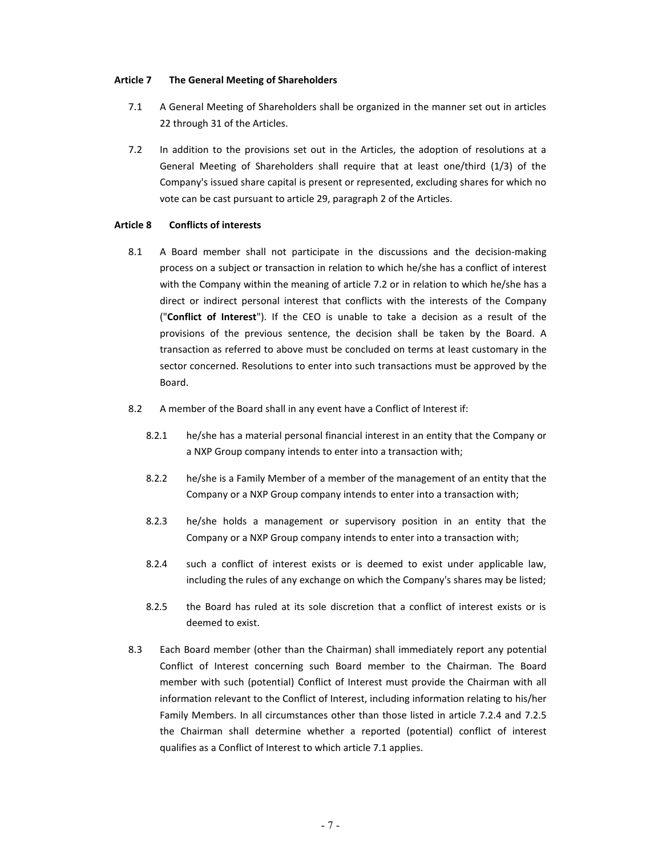#### **Article 7 The General Meeting of Shareholders**

- 7.1 A General Meeting of Shareholders shall be organized in the manner set out in articles 22 through 31 of the Articles.
- 7.2 In addition to the provisions set out in the Articles, the adoption of resolutions at a General Meeting of Shareholders shall require that at least one/third (1/3) of the Company's issued share capital is present or represented, excluding shares for which no vote can be cast pursuant to article 29, paragraph 2 of the Articles.

#### **Article 8 Conflicts of interests**

- 8.1 A Board member shall not participate in the discussions and the decision-making process on a subject or transaction in relation to which he/she has a conflict of interest with the Company within the meaning of article 7.2 or in relation to which he/she has a direct or indirect personal interest that conflicts with the interests of the Company ("**Conflict of Interest**"). If the CEO is unable to take a decision as a result of the provisions of the previous sentence, the decision shall be taken by the Board. A transaction as referred to above must be concluded on terms at least customary in the sector concerned. Resolutions to enter into such transactions must be approved by the Board.
- 8.2 A member of the Board shall in any event have a Conflict of Interest if:
	- 8.2.1 he/she has a material personal financial interest in an entity that the Company or a NXP Group company intends to enter into a transaction with;
	- 8.2.2 he/she is a Family Member of a member of the management of an entity that the Company or a NXP Group company intends to enter into a transaction with;
	- 8.2.3 he/she holds a management or supervisory position in an entity that the Company or a NXP Group company intends to enter into a transaction with;
	- 8.2.4 such a conflict of interest exists or is deemed to exist under applicable law, including the rules of any exchange on which the Company's shares may be listed;
	- 8.2.5 the Board has ruled at its sole discretion that a conflict of interest exists or is deemed to exist.
- 8.3 Each Board member (other than the Chairman) shall immediately report any potential Conflict of Interest concerning such Board member to the Chairman. The Board member with such (potential) Conflict of Interest must provide the Chairman with all information relevant to the Conflict of Interest, including information relating to his/her Family Members. In all circumstances other than those listed in article 7.2.4 and 7.2.5 the Chairman shall determine whether a reported (potential) conflict of interest qualifies as a Conflict of Interest to which article 7.1 applies.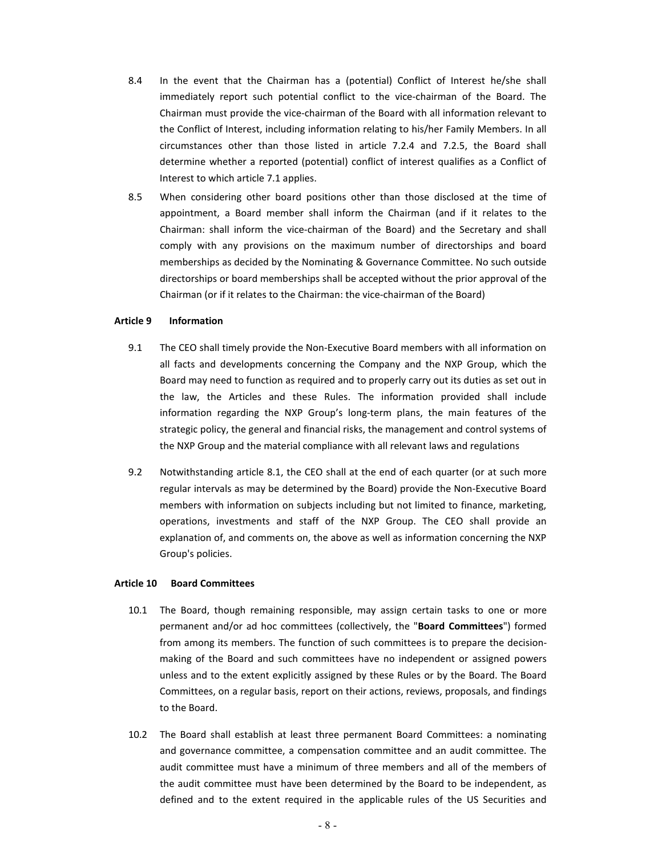- 8.4 In the event that the Chairman has a (potential) Conflict of Interest he/she shall immediately report such potential conflict to the vice-chairman of the Board. The Chairman must provide the vice-chairman of the Board with all information relevant to the Conflict of Interest, including information relating to his/her Family Members. In all circumstances other than those listed in article 7.2.4 and 7.2.5, the Board shall determine whether a reported (potential) conflict of interest qualifies as a Conflict of Interest to which article 7.1 applies.
- 8.5 When considering other board positions other than those disclosed at the time of appointment, a Board member shall inform the Chairman (and if it relates to the Chairman: shall inform the vice-chairman of the Board) and the Secretary and shall comply with any provisions on the maximum number of directorships and board memberships as decided by the Nominating & Governance Committee. No such outside directorships or board memberships shall be accepted without the prior approval of the Chairman (or if it relates to the Chairman: the vice-chairman of the Board)

### **Article 9 Information**

- 9.1 The CEO shall timely provide the Non-Executive Board members with all information on all facts and developments concerning the Company and the NXP Group, which the Board may need to function as required and to properly carry out its duties as set out in the law, the Articles and these Rules. The information provided shall include information regarding the NXP Group's long-term plans, the main features of the strategic policy, the general and financial risks, the management and control systems of the NXP Group and the material compliance with all relevant laws and regulations
- 9.2 Notwithstanding article 8.1, the CEO shall at the end of each quarter (or at such more regular intervals as may be determined by the Board) provide the Non-Executive Board members with information on subjects including but not limited to finance, marketing, operations, investments and staff of the NXP Group. The CEO shall provide an explanation of, and comments on, the above as well as information concerning the NXP Group's policies.

# **Article 10 Board Committees**

- 10.1 The Board, though remaining responsible, may assign certain tasks to one or more permanent and/or ad hoc committees (collectively, the "**Board Committees**") formed from among its members. The function of such committees is to prepare the decisionmaking of the Board and such committees have no independent or assigned powers unless and to the extent explicitly assigned by these Rules or by the Board. The Board Committees, on a regular basis, report on their actions, reviews, proposals, and findings to the Board.
- 10.2 The Board shall establish at least three permanent Board Committees: a nominating and governance committee, a compensation committee and an audit committee. The audit committee must have a minimum of three members and all of the members of the audit committee must have been determined by the Board to be independent, as defined and to the extent required in the applicable rules of the US Securities and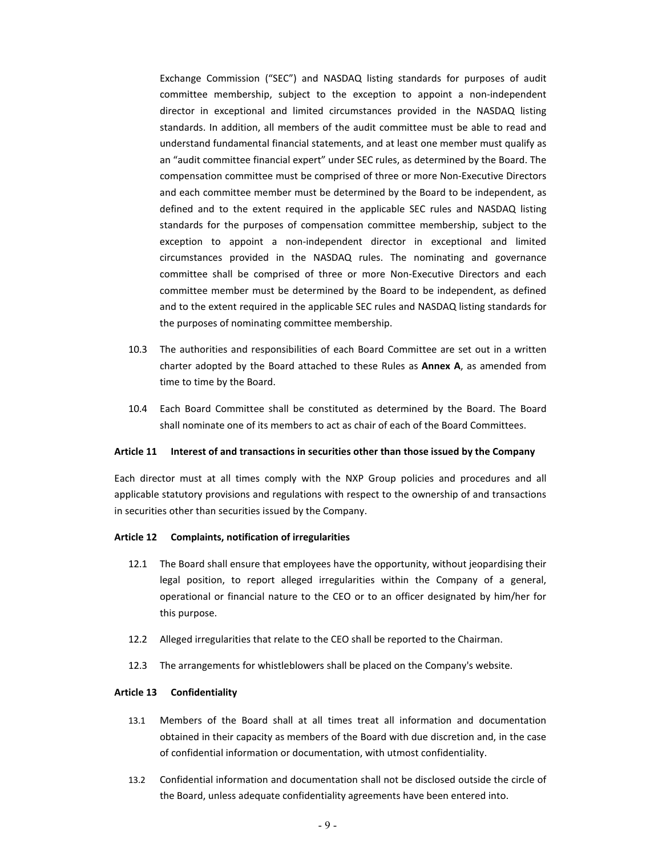Exchange Commission ("SEC") and NASDAQ listing standards for purposes of audit committee membership, subject to the exception to appoint a non-independent director in exceptional and limited circumstances provided in the NASDAQ listing standards. In addition, all members of the audit committee must be able to read and understand fundamental financial statements, and at least one member must qualify as an "audit committee financial expert" under SEC rules, as determined by the Board. The compensation committee must be comprised of three or more Non-Executive Directors and each committee member must be determined by the Board to be independent, as defined and to the extent required in the applicable SEC rules and NASDAQ listing standards for the purposes of compensation committee membership, subject to the exception to appoint a non-independent director in exceptional and limited circumstances provided in the NASDAQ rules. The nominating and governance committee shall be comprised of three or more Non-Executive Directors and each committee member must be determined by the Board to be independent, as defined and to the extent required in the applicable SEC rules and NASDAQ listing standards for the purposes of nominating committee membership.

- 10.3 The authorities and responsibilities of each Board Committee are set out in a written charter adopted by the Board attached to these Rules as **Annex A**, as amended from time to time by the Board.
- 10.4 Each Board Committee shall be constituted as determined by the Board. The Board shall nominate one of its members to act as chair of each of the Board Committees.

### **Article 11 Interest of and transactions in securities other than those issued by the Company**

Each director must at all times comply with the NXP Group policies and procedures and all applicable statutory provisions and regulations with respect to the ownership of and transactions in securities other than securities issued by the Company.

#### **Article 12 Complaints, notification of irregularities**

- 12.1 The Board shall ensure that employees have the opportunity, without jeopardising their legal position, to report alleged irregularities within the Company of a general, operational or financial nature to the CEO or to an officer designated by him/her for this purpose.
- 12.2 Alleged irregularities that relate to the CEO shall be reported to the Chairman.
- 12.3 The arrangements for whistleblowers shall be placed on the Company's website.

#### **Article 13 Confidentiality**

- 13.1 Members of the Board shall at all times treat all information and documentation obtained in their capacity as members of the Board with due discretion and, in the case of confidential information or documentation, with utmost confidentiality.
- 13.2 Confidential information and documentation shall not be disclosed outside the circle of the Board, unless adequate confidentiality agreements have been entered into.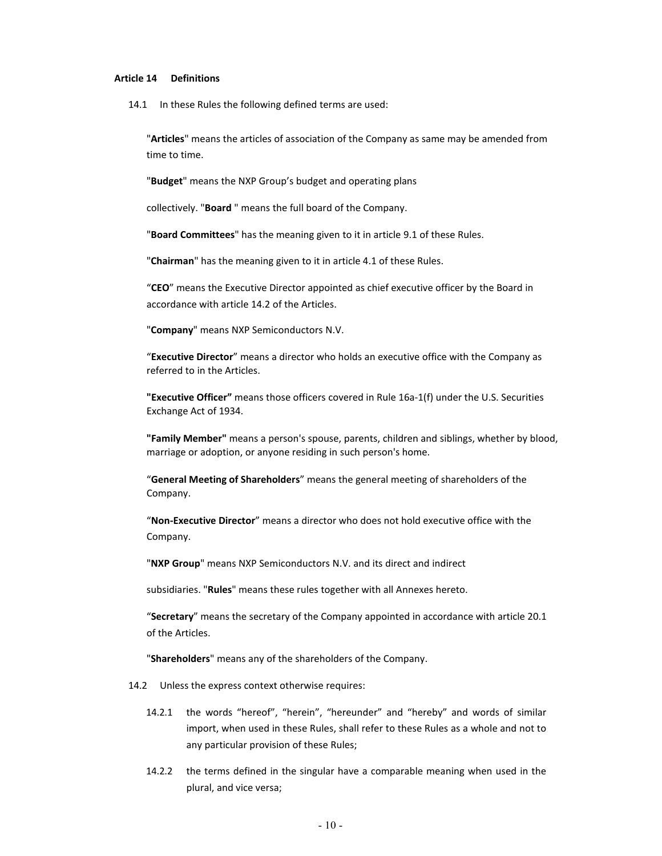### **Article 14 Definitions**

14.1 In these Rules the following defined terms are used:

"**Articles**" means the articles of association of the Company as same may be amended from time to time.

"**Budget**" means the NXP Group's budget and operating plans

collectively. "**Board** " means the full board of the Company.

"**Board Committees**" has the meaning given to it in article 9.1 of these Rules.

"**Chairman**" has the meaning given to it in article 4.1 of these Rules.

"**CEO**" means the Executive Director appointed as chief executive officer by the Board in accordance with article 14.2 of the Articles.

"**Company**" means NXP Semiconductors N.V.

"**Executive Director**" means a director who holds an executive office with the Company as referred to in the Articles.

**"Executive Officer"** means those officers covered in Rule 16a-1(f) under the U.S. Securities Exchange Act of 1934.

**"Family Member"** means a person's spouse, parents, children and siblings, whether by blood, marriage or adoption, or anyone residing in such person's home.

"**General Meeting of Shareholders**" means the general meeting of shareholders of the Company.

"**Non-Executive Director**" means a director who does not hold executive office with the Company.

"**NXP Group**" means NXP Semiconductors N.V. and its direct and indirect

subsidiaries. "**Rules**" means these rules together with all Annexes hereto.

"**Secretary**" means the secretary of the Company appointed in accordance with article 20.1 of the Articles.

"**Shareholders**" means any of the shareholders of the Company.

14.2 Unless the express context otherwise requires:

- 14.2.1 the words "hereof", "herein", "hereunder" and "hereby" and words of similar import, when used in these Rules, shall refer to these Rules as a whole and not to any particular provision of these Rules;
- 14.2.2 the terms defined in the singular have a comparable meaning when used in the plural, and vice versa;